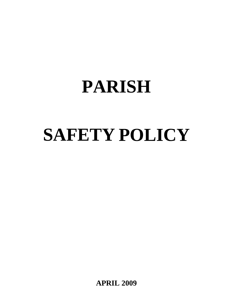# **PARISH**

# **SAFETY POLICY**

**APRIL 2009**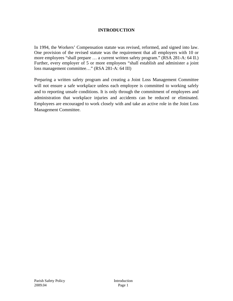### **INTRODUCTION**

In 1994, the Workers' Compensation statute was revised, reformed, and signed into law. One provision of the revised statute was the requirement that all employers with 10 or more employees "shall prepare … a current written safety program." (RSA 281-A: 64 II.) Further, every employer of 5 or more employees "shall establish and administer a joint loss management committee…" (RSA 281-A: 64 III)

Preparing a written safety program and creating a Joint Loss Management Committee will not ensure a safe workplace unless each employee is committed to working safely and to reporting unsafe conditions. It is only through the commitment of employees and administration that workplace injuries and accidents can be reduced or eliminated. Employees are encouraged to work closely with and take an active role in the Joint Loss Management Committee.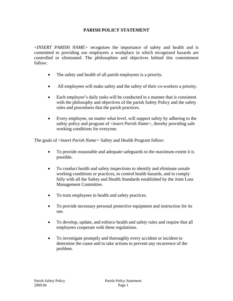### **PARISH POLICY STATEMENT**

<*INSERT PARISH NAME>* recognizes the importance of safety and health and is committed to providing our employees a workplace in which recognized hazards are controlled or eliminated. The philosophies and objectives behind this commitment follow:

- The safety and health of all parish employees is a priority.
- All employees will make safety and the safety of their co-workers a priority.
- Each employee's daily tasks will be conducted in a manner that is consistent with the philosophy and objectives of the parish Safety Policy and the safety rules and procedures that the parish practices.
- Every employee, no matter what level, will support safety by adhering to the safety policy and program of <*insert Parish Name>*, thereby providing safe working conditions for everyone.

The goals of <*insert Parish Name>* Safety and Health Program follow:

- To provide reasonable and adequate safeguards to the maximum extent it is possible.
- To conduct health and safety inspections to identify and eliminate unsafe working conditions or practices, to control health hazards, and to comply fully with all the Safety and Health Standards established by the Joint Loss Management Committee.
- To train employees in health and safety practices.
- To provide necessary personal protective equipment and instruction for its use.
- To develop, update, and enforce health and safety rules and require that all employees cooperate with these regulations.
- To investigate promptly and thoroughly every accident or incident to determine the cause and to take actions to prevent any recurrence of the problem.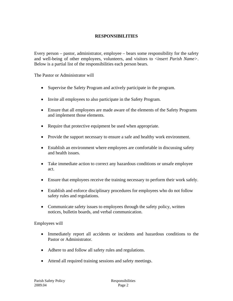### **RESPONSIBILITIES**

Every person – pastor, administrator, employee – bears some responsibility for the safety and well-being of other employees, volunteers, and visitors to <*insert Parish Name>*. Below is a partial list of the responsibilities each person bears.

The Pastor or Administrator will

- Supervise the Safety Program and actively participate in the program.
- Invite all employees to also participate in the Safety Program.
- Ensure that all employees are made aware of the elements of the Safety Programs and implement those elements.
- Require that protective equipment be used when appropriate.
- Provide the support necessary to ensure a safe and healthy work environment.
- Establish an environment where employees are comfortable in discussing safety and health issues.
- Take immediate action to correct any hazardous conditions or unsafe employee act.
- Ensure that employees receive the training necessary to perform their work safely.
- Establish and enforce disciplinary procedures for employees who do not follow safety rules and regulations.
- Communicate safety issues to employees through the safety policy, written notices, bulletin boards, and verbal communication.

#### Employees will

- Immediately report all accidents or incidents and hazardous conditions to the Pastor or Administrator.
- Adhere to and follow all safety rules and regulations.
- Attend all required training sessions and safety meetings.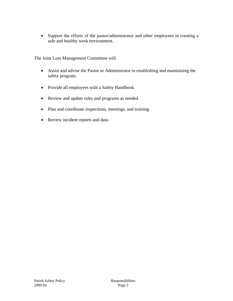• Support the efforts of the pastor/administrator and other employees in creating a safe and healthy work environment.

The Joint Loss Management Committee will

- Assist and advise the Pastor or Administrator in establishing and maintaining the safety program.
- Provide all employees with a Safety Handbook.
- Review and update rules and programs as needed.
- Plan and coordinate inspections, meetings, and training.
- Review incident reports and data.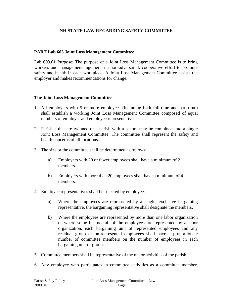### **NH STATE LAW REGARDING SAFETY COMMIITEE**

### **PART Lab 603 Joint Loss Management Committee**

Lab 603.01 Purpose: The purpose of a Joint Loss Management Committee is to bring workers and management together in a non-adversarial, cooperative effort to promote safety and health in each workplace. A Joint Loss Management Committee assists the employer and makes recommendations for change.

#### **The Joint Loss Management Committee**

- 1. All employers with 5 or more employees (including both full-time and part-time) shall establish a working Joint Loss Management Committee composed of equal numbers of employer and employee representatives.
- 2. Parishes that are twinned or a parish with a school may be combined into a single Joint Loss Management Committee. The committee shall represent the safety and health concerns of all locations.
- 3. The size or the committee shall be determined as follows:
	- a) Employers with 20 or fewer employees shall have a minimum of 2 members.
	- b) Employers with more than 20 employees shall have a minimum of 4 members.
- 4. Employee representatives shall be selected by employees.
	- a) Where the employees are represented by a single, exclusive bargaining representative, the bargaining representative shall designate the members.
	- b) Where the employees are represented by more than one labor organization or where some but not all of the employees are represented by a labor organization, each bargaining unit of represented employees and any residual group or un-represented employees shall have a proportionate number of committee members on the number of employees in each bargaining unit or group.
- 5. Committee members shall be representative of the major activities of the parish.
- 6. Any employee who participates in committee activities as a committee member,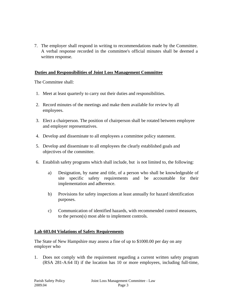7. The employer shall respond in writing to recommendations made by the Committee. A verbal response recorded in the committee's official minutes shall be deemed a written response.

### **Duties and Responsibilities of Joint Loss Management Committee**

The Committee shall:

- 1. Meet at least quarterly to carry out their duties and responsibilities.
- 2. Record minutes of the meetings and make them available for review by all employees.
- 3. Elect a chairperson. The position of chairperson shall be rotated between employee and employer representatives.
- 4. Develop and disseminate to all employees a committee policy statement.
- 5. Develop and disseminate to all employees the clearly established goals and objectives of the committee.
- 6. Establish safety programs which shall include, but is not limited to, the following:
	- a) Designation, by name and title, of a person who shall be knowledgeable of site specific safety requirements and be accountable for their implementation and adherence.
	- b) Provisions for safety inspections at least annually for hazard identification purposes.
	- c) Communication of identified hazards, with recommended control measures, to the person(s) most able to implement controls.

### **Lab 603.04 Violations of Safety Requirements**

The State of New Hampshire may assess a fine of up to \$1000.00 per day on any employer who

1. Does not comply with the requirement regarding a current written safety program (RSA 281-A:64 II) if the location has 10 or more employees, including full-time,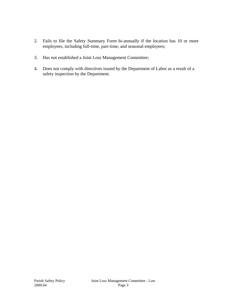- 2. Fails to file the Safety Summary Form bi-annually if the location has 10 or more employees, including full-time, part-time, and seasonal employees;
- 3. Has not established a Joint Loss Management Committee;
- 4. Does not comply with directives issued by the Department of Labor as a result of a safety inspection by the Department.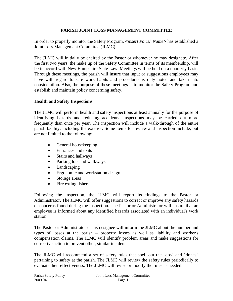### **PARISH JOINT LOSS MANAGEMENT COMMITTEE**

In order to properly monitor the Safety Program, <*insert Parish Name>* has established a Joint Loss Management Committee (JLMC).

The JLMC will initially be chaired by the Pastor or whomever he may designate. After the first two years, the make up of the Safety Committee in terms of its membership, will be in accord with New Hampshire State Law. Meetings will be held on a quarterly basis. Through these meetings, the parish will insure that input or suggestions employees may have with regard to safe work habits and procedures is duly noted and taken into consideration. Also, the purpose of these meetings is to monitor the Safety Program and establish and maintain policy concerning safety.

### **Health and Safety Inspections**

The JLMC will perform health and safety inspections at least annually for the purpose of identifying hazards and reducing accidents. Inspections may be carried out more frequently than once per year. The inspection will include a walk-through of the entire parish facility, including the exterior. Some items for review and inspection include, but are not limited to the following:

- General housekeeping
- Entrances and exits
- Stairs and hallways
- Parking lots and walkways
- Landscaping
- Ergonomic and workstation design
- Storage areas
- Fire extinguishers

Following the inspection, the JLMC will report its findings to the Pastor or Administrator. The JLMC will offer suggestions to correct or improve any safety hazards or concerns found during the inspection. The Pastor or Administrator will ensure that an employee is informed about any identified hazards associated with an individual's work station.

The Pastor or Administrator or his designee will inform the JLMC about the number and types of losses at the parish – property losses as well as liability and worker's compensation claims. The JLMC will identify problem areas and make suggestions for corrective action to prevent other, similar incidents.

The JLMC will recommend a set of safety rules that spell out the "dos" and "don'ts" pertaining to safety at the parish. The JLMC will review the safety rules periodically to evaluate their effectiveness. The JLMC will revise or modify the rules as needed.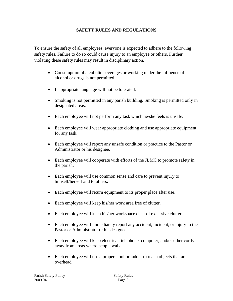### **SAFETY RULES AND REGULATIONS**

To ensure the safety of all employees, everyone is expected to adhere to the following safety rules. Failure to do so could cause injury to an employee or others. Further, violating these safety rules may result in disciplinary action.

- Consumption of alcoholic beverages or working under the influence of alcohol or drugs is not permitted.
- Inappropriate language will not be tolerated.
- Smoking is not permitted in any parish building. Smoking is permitted only in designated areas.
- Each employee will not perform any task which he/she feels is unsafe.
- Each employee will wear appropriate clothing and use appropriate equipment for any task.
- Each employee will report any unsafe condition or practice to the Pastor or Administrator or his designee.
- Each employee will cooperate with efforts of the JLMC to promote safety in the parish.
- Each employee will use common sense and care to prevent injury to himself/herself and to others.
- Each employee will return equipment to its proper place after use.
- Each employee will keep his/her work area free of clutter.
- Each employee will keep his/her workspace clear of excessive clutter.
- Each employee will immediately report any accident, incident, or injury to the Pastor or Administrator or his designee.
- Each employee will keep electrical, telephone, computer, and/or other cords away from areas where people walk.
- Each employee will use a proper stool or ladder to reach objects that are overhead.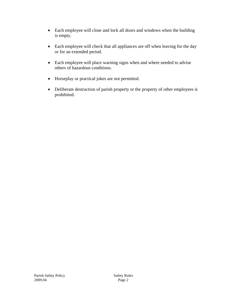- Each employee will close and lock all doors and windows when the building is empty.
- Each employee will check that all appliances are off when leaving for the day or for an extended period.
- Each employee will place warning signs when and where needed to advise others of hazardous conditions.
- Horseplay or practical jokes are not permitted.
- Deliberate destruction of parish property or the property of other employees is prohibited.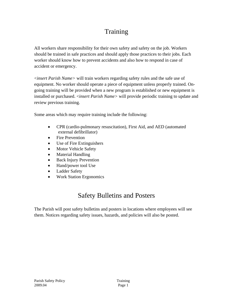# **Training**

All workers share responsibility for their own safety and safety on the job. Workers should be trained in safe practices and should apply those practices to their jobs. Each worker should know how to prevent accidents and also how to respond in case of accident or emergency.

<*insert Parish Name>* will train workers regarding safety rules and the safe use of equipment. No worker should operate a piece of equipment unless properly trained. Ongoing training will be provided when a new program is established or new equipment is installed or purchased. <*insert Parish Name>* will provide periodic training to update and review previous training.

Some areas which may require training include the following:

- CPR (cardio-pulmonary resuscitation), First Aid, and AED (automated external defibrillator)
- Fire Prevention
- Use of Fire Extinguishers
- Motor Vehicle Safety
- Material Handling
- Back Injury Prevention
- Hand/power tool Use
- Ladder Safety
- Work Station Ergonomics

# Safety Bulletins and Posters

The Parish will post safety bulletins and posters in locations where employees will see them. Notices regarding safety issues, hazards, and policies will also be posted.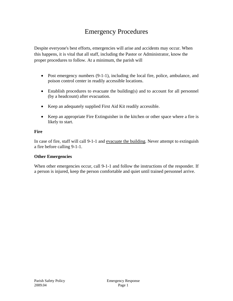## Emergency Procedures

Despite everyone's best efforts, emergencies will arise and accidents may occur. When this happens, it is vital that all staff, including the Pastor or Administrator, know the proper procedures to follow. At a minimum, the parish will

- Post emergency numbers (9-1-1), including the local fire, police, ambulance, and poison control center in readily accessible locations.
- Establish procedures to evacuate the building(s) and to account for all personnel (by a headcount) after evacuation.
- Keep an adequately supplied First Aid Kit readily accessible.
- Keep an appropriate Fire Extinguisher in the kitchen or other space where a fire is likely to start.

#### **Fire**

In case of fire, staff will call 9-1-1 and evacuate the building. Never attempt to extinguish a fire before calling 9-1-1.

### **Other Emergencies**

When other emergencies occur, call 9-1-1 and follow the instructions of the responder. If a person is injured, keep the person comfortable and quiet until trained personnel arrive.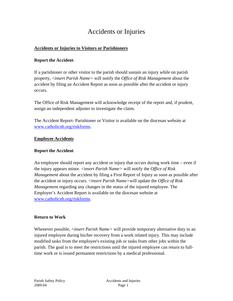### Accidents or Injuries

### **Accidents or Injuries to Visitors or Parishioners**

### **Report the Accident**

If a parishioner or other visitor to the parish should sustain an injury while on parish property, <*insert Parish Name>* will notify the *Office of Risk Management* about the accident by filing an Accident Report as soon as possible after the accident or injury occurs.

The Office of Risk Management will acknowledge receipt of the report and, if prudent, assign an independent adjuster to investigate the claim.

The Accident Report- Parishioner or Visitor is available on the diocesan website at [www.catholicnh.org/riskforms](http://www.catholicnh.org/riskforms).

### **Employee Accidents**

### **Report the Accident**

An employee should report any accident or injury that occurs during work time – even if the injury appears minor. <*insert Parish Name>* will notify the *Office of Risk Management* about the accident by filing a First Report of Injury as soon as possible after the accident or injury occurs. <*insert Parish Name>*will update the *Office of Risk Management* regarding any changes in the status of the injured employee. The Employer's Accident Report is available on the diocesan website at [www.catholicnh.org/riskforms](http://www.catholicnh.org/riskforms).

### **Return to Work**

Whenever possible, <*insert Parish Name>* will provide temporary alternative duty to an injured employee during his/her recovery from a work related injury. This may include modified tasks from the employee's existing job or tasks from other jobs within the parish. The goal is to meet the restrictions until the injured employee can return to fulltime work or is issued permanent restrictions by a medical professional.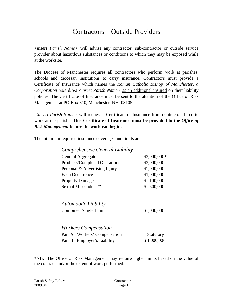### Contractors – Outside Providers

<*insert Parish Name>* will advise any contractor, sub-contractor or outside service provider about hazardous substances or conditions to which they may be exposed while at the worksite.

The Diocese of Manchester requires all contractors who perform work at parishes, schools and diocesan institutions to carry insurance. Contractors must provide a Certificate of Insurance which names the *Roman Catholic Bishop of Manchester, a Corporation Sole* d/b/a <*insert Parish Name>* as an additional insured on their liability policies. The Certificate of Insurance must be sent to the attention of the Office of Risk Management at PO Box 310, Manchester, NH 03105.

 <*insert Parish Name>* will request a Certificate of Insurance from contractors hired to work at the parish. **This Certificate of Insurance must be provided to the** *Office of Risk Management* **before the work can begin.**

The minimum required insurance coverages and limits are:

|  | Comprehensive General Liability |
|--|---------------------------------|
|--|---------------------------------|

| General Aggregate             | \$3,000,000*             |
|-------------------------------|--------------------------|
| Products/Completed Operations | \$3,000,000              |
| Personal & Advertising Injury | \$1,000,000              |
| Each Occurrence               | \$1,000,000              |
| <b>Property Damage</b>        | 100,000<br><sup>\$</sup> |
| Sexual Misconduct **          | 500,000                  |

*Automobile Liability* 

Combined Single Limit \$1,000,000

*Workers Compensation* 

| Part A: Workers' Compensation | <b>Statutory</b> |
|-------------------------------|------------------|
| Part B: Employer's Liability  | \$1,000,000      |

\*NB: The Office of Risk Management may require higher limits based on the value of the contract and/or the extent of work performed.